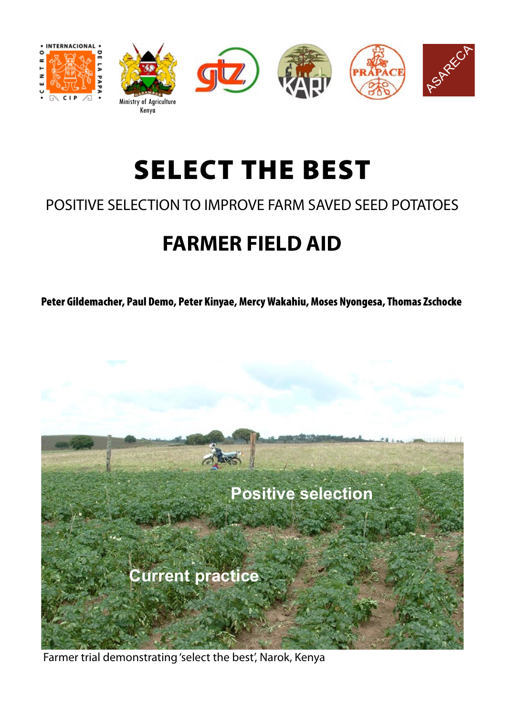

# SELECT THE BEST

### POSITIVE SELECTION TO IMPROVE FARM SAVED SEED POTATOES

## **FARMER FIELD AID**

Peter Gildemacher, Paul Demo, Peter Kinyae, Mercy Wakahiu, Moses Nyongesa, Thomas Zschocke



Farmer trial demonstrating 'select the best', Narok, Kenya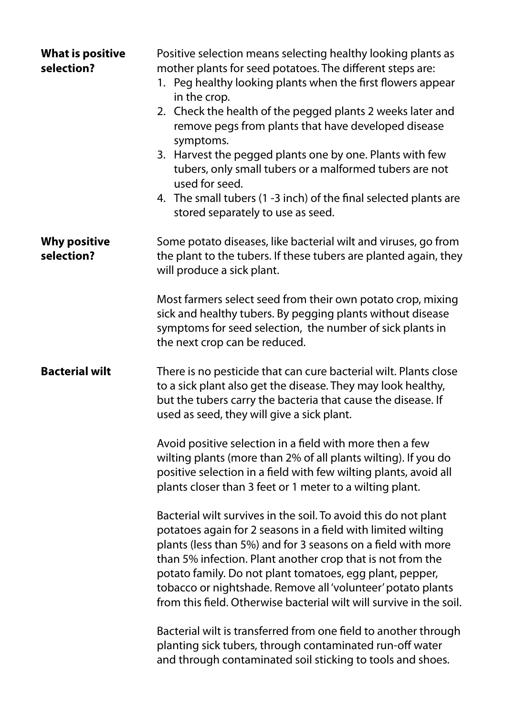| <b>What is positive</b><br>selection? | Positive selection means selecting healthy looking plants as<br>mother plants for seed potatoes. The different steps are:<br>1. Peg healthy looking plants when the first flowers appear<br>in the crop.<br>2. Check the health of the pegged plants 2 weeks later and<br>remove pegs from plants that have developed disease<br>symptoms.<br>3. Harvest the pegged plants one by one. Plants with few<br>tubers, only small tubers or a malformed tubers are not<br>used for seed.<br>4. The small tubers (1 -3 inch) of the final selected plants are<br>stored separately to use as seed. |
|---------------------------------------|----------------------------------------------------------------------------------------------------------------------------------------------------------------------------------------------------------------------------------------------------------------------------------------------------------------------------------------------------------------------------------------------------------------------------------------------------------------------------------------------------------------------------------------------------------------------------------------------|
| <b>Why positive</b><br>selection?     | Some potato diseases, like bacterial wilt and viruses, go from<br>the plant to the tubers. If these tubers are planted again, they<br>will produce a sick plant.                                                                                                                                                                                                                                                                                                                                                                                                                             |
|                                       | Most farmers select seed from their own potato crop, mixing<br>sick and healthy tubers. By pegging plants without disease<br>symptoms for seed selection, the number of sick plants in<br>the next crop can be reduced.                                                                                                                                                                                                                                                                                                                                                                      |
| <b>Bacterial wilt</b>                 | There is no pesticide that can cure bacterial wilt. Plants close<br>to a sick plant also get the disease. They may look healthy,<br>but the tubers carry the bacteria that cause the disease. If<br>used as seed, they will give a sick plant.                                                                                                                                                                                                                                                                                                                                               |
|                                       | Avoid positive selection in a field with more then a few<br>wilting plants (more than 2% of all plants wilting). If you do<br>positive selection in a field with few wilting plants, avoid all<br>plants closer than 3 feet or 1 meter to a wilting plant.                                                                                                                                                                                                                                                                                                                                   |
|                                       | Bacterial wilt survives in the soil. To avoid this do not plant<br>potatoes again for 2 seasons in a field with limited wilting<br>plants (less than 5%) and for 3 seasons on a field with more<br>than 5% infection. Plant another crop that is not from the<br>potato family. Do not plant tomatoes, egg plant, pepper,<br>tobacco or nightshade. Remove all 'volunteer' potato plants<br>from this field. Otherwise bacterial wilt will survive in the soil.                                                                                                                              |
|                                       | Bacterial wilt is transferred from one field to another through<br>planting sick tubers, through contaminated run-off water<br>and through contaminated soil sticking to tools and shoes.                                                                                                                                                                                                                                                                                                                                                                                                    |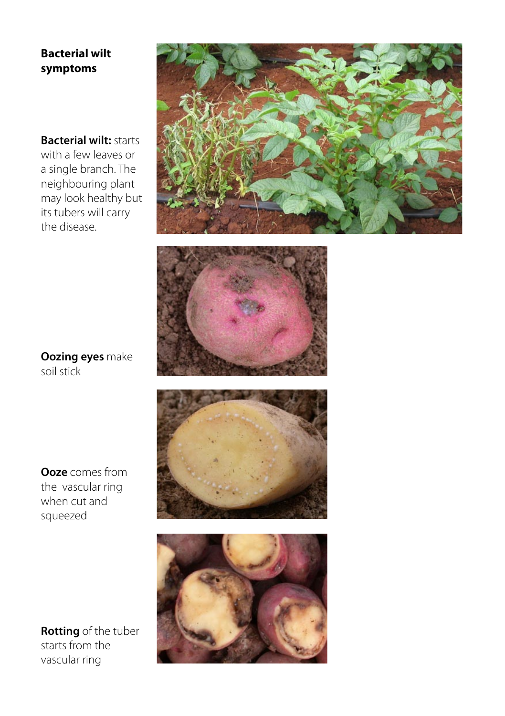#### **Bacterial wilt symptoms**

**Bacterial wilt:** starts with a few leaves or a single branch. The neighbouring plant may look healthy but its tubers will carry the disease.





**Oozing eyes** make soil stick

**Ooze** comes from the vascular ring when cut and squeezed





**Rotting** of the tuber starts from the vascular ring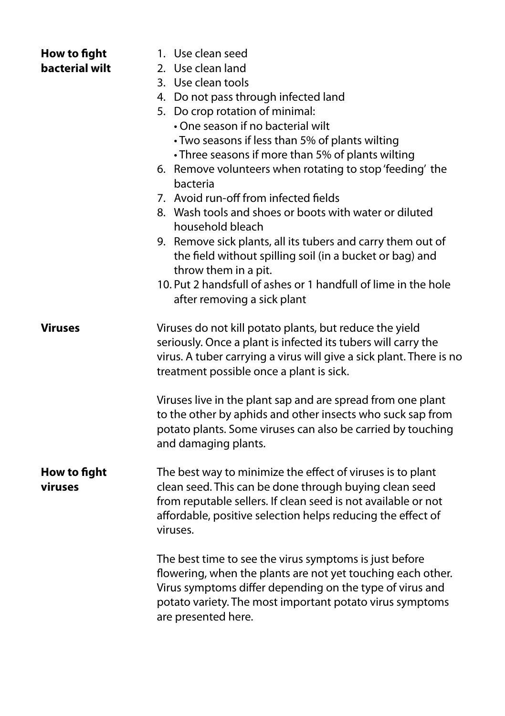| How to fight<br>bacterial wilt | 1. Use clean seed<br>2. Use clean land<br>3. Use clean tools<br>4. Do not pass through infected land<br>5. Do crop rotation of minimal:<br>• One season if no bacterial wilt<br>• Two seasons if less than 5% of plants wilting<br>• Three seasons if more than 5% of plants wilting<br>6. Remove volunteers when rotating to stop 'feeding' the<br>bacteria<br>7. Avoid run-off from infected fields<br>8. Wash tools and shoes or boots with water or diluted<br>household bleach<br>9. Remove sick plants, all its tubers and carry them out of<br>the field without spilling soil (in a bucket or bag) and<br>throw them in a pit.<br>10. Put 2 handsfull of ashes or 1 handfull of lime in the hole<br>after removing a sick plant |
|--------------------------------|-----------------------------------------------------------------------------------------------------------------------------------------------------------------------------------------------------------------------------------------------------------------------------------------------------------------------------------------------------------------------------------------------------------------------------------------------------------------------------------------------------------------------------------------------------------------------------------------------------------------------------------------------------------------------------------------------------------------------------------------|
| Viruses                        | Viruses do not kill potato plants, but reduce the yield<br>seriously. Once a plant is infected its tubers will carry the<br>virus. A tuber carrying a virus will give a sick plant. There is no<br>treatment possible once a plant is sick.<br>Viruses live in the plant sap and are spread from one plant                                                                                                                                                                                                                                                                                                                                                                                                                              |
|                                | to the other by aphids and other insects who suck sap from<br>potato plants. Some viruses can also be carried by touching<br>and damaging plants.                                                                                                                                                                                                                                                                                                                                                                                                                                                                                                                                                                                       |
| How to fight<br>viruses        | The best way to minimize the effect of viruses is to plant<br>clean seed. This can be done through buying clean seed<br>from reputable sellers. If clean seed is not available or not<br>affordable, positive selection helps reducing the effect of<br>viruses.                                                                                                                                                                                                                                                                                                                                                                                                                                                                        |
|                                | The best time to see the virus symptoms is just before<br>flowering, when the plants are not yet touching each other.<br>Virus symptoms differ depending on the type of virus and<br>potato variety. The most important potato virus symptoms<br>are presented here.                                                                                                                                                                                                                                                                                                                                                                                                                                                                    |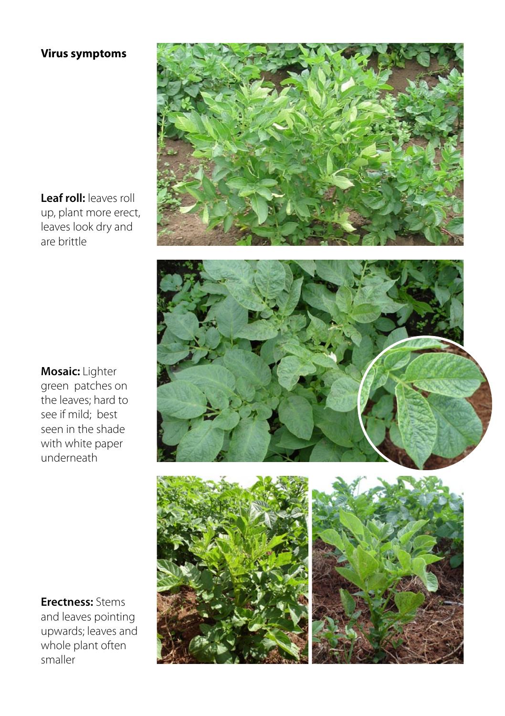#### **Virus symptoms**

**Leaf roll:** leaves roll up, plant more erect, leaves look dry and are brittle



**Erectness:** Stems and leaves pointing upwards; leaves and whole plant often smaller





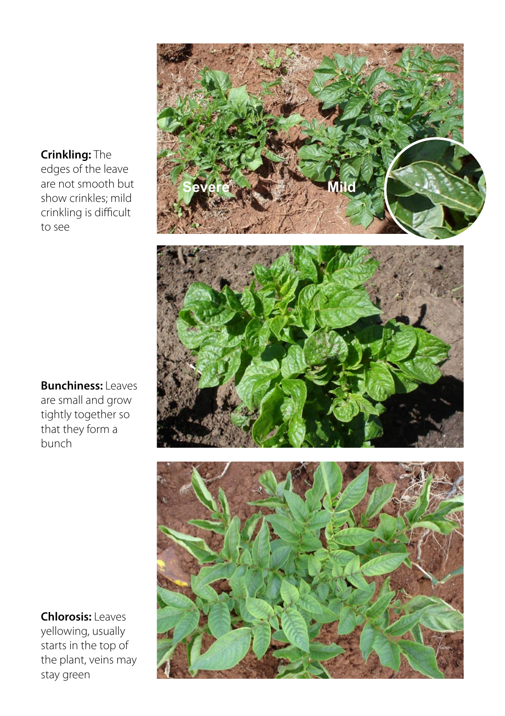#### **Crinkling:** The

edges of the leave are not smooth but show crinkles; mild crinkling is difficult to see



**Chlorosis:** Leaves yellowing, usually starts in the top of the plant, veins may stay green

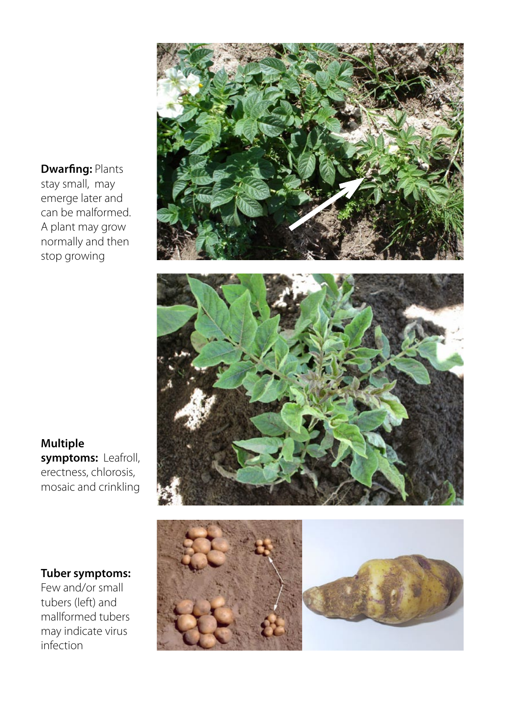**Dwarfing:** Plants stay small, may emerge later and can be malformed. A plant may grow normally and then stop growing





**Multiple symptoms:** Leafroll, erectness, chlorosis, mosaic and crinkling

#### **Tuber symptoms:**

Few and/or small tubers (left) and mallformed tubers may indicate virus infection